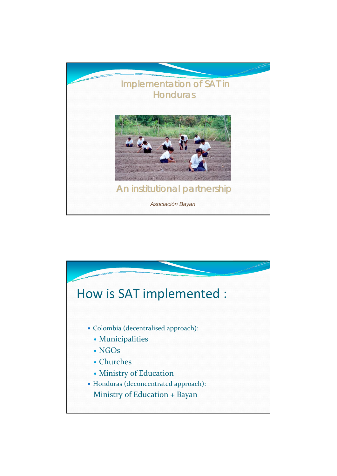

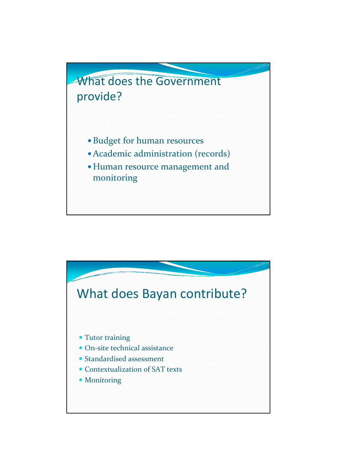

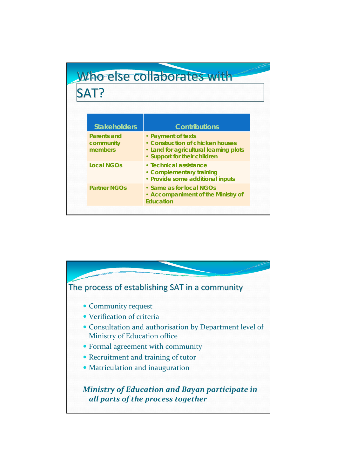## Who else collaborates with SAT?

| <b>Stakeholders</b>                 | <b>Contributions</b>                                                                                                             |
|-------------------------------------|----------------------------------------------------------------------------------------------------------------------------------|
| Parents and<br>community<br>members | • Payment of texts<br>• Construction of chicken houses<br>• Land for agricultural learning plots<br>• Support for their children |
| <b>Local NGOs</b>                   | • Technical assistance<br>• Complementary training<br>• Provide some additional inputs                                           |
| <b>Partner NGOs</b>                 | • Same as for local NGOs<br>• Accompaniment of the Ministry of<br><b>Education</b>                                               |

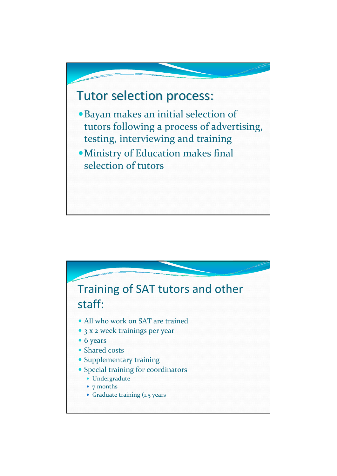## Tutor selection process:

- · Bayan makes an initial selection of tutors following a process of advertising, testing, interviewing and training
- · Ministry of Education makes final selection of tutors

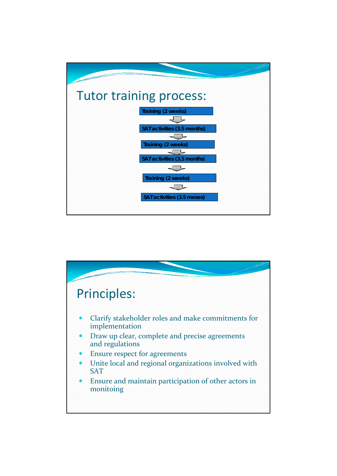

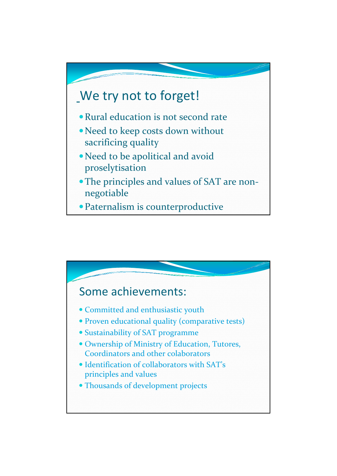

- Rural education is not second rate
- Need to keep costs down without sacrificing quality
- Need to be apolitical and avoid proselytisation
- The principles and values of SAT are nonnegotiable
- Paternalism is counterproductive

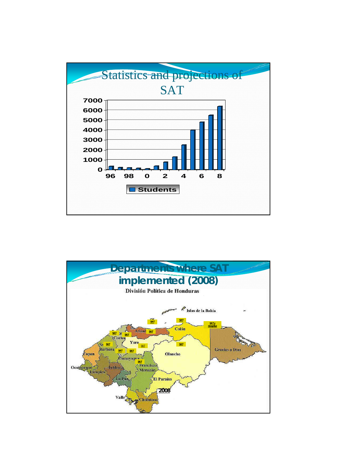

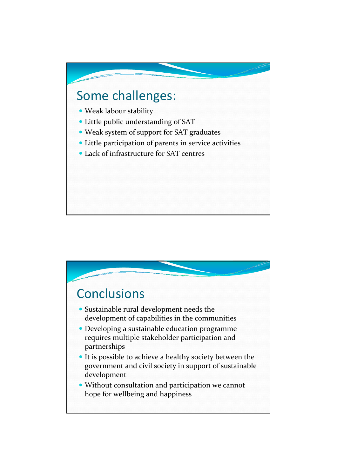